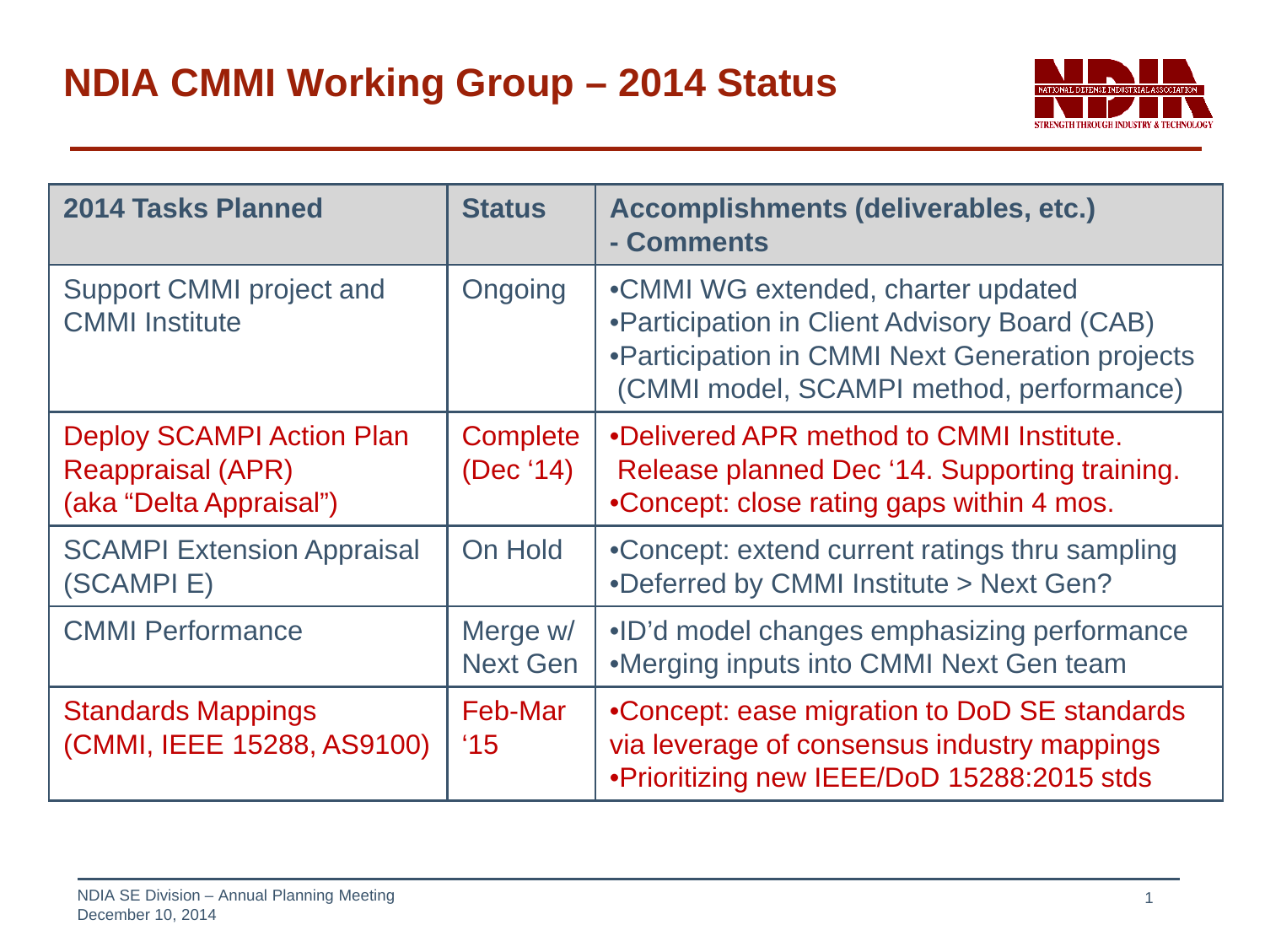

| <b>2014 Tasks Planned</b>                                                               | <b>Status</b>                | Accomplishments (deliverables, etc.)<br>- Comments                                                                                                                                 |
|-----------------------------------------------------------------------------------------|------------------------------|------------------------------------------------------------------------------------------------------------------------------------------------------------------------------------|
| Support CMMI project and<br><b>CMMI</b> Institute                                       | Ongoing                      | •CMMI WG extended, charter updated<br>•Participation in Client Advisory Board (CAB)<br>•Participation in CMMI Next Generation projects<br>(CMMI model, SCAMPI method, performance) |
| <b>Deploy SCAMPI Action Plan</b><br><b>Reappraisal (APR)</b><br>(aka "Delta Appraisal") | <b>Complete</b><br>(Dec '14) | •Delivered APR method to CMMI Institute.<br>Release planned Dec '14. Supporting training.<br>•Concept: close rating gaps within 4 mos.                                             |
| <b>SCAMPI Extension Appraisal</b><br>(SCAMPIE)                                          | On Hold                      | •Concept: extend current ratings thru sampling<br>•Deferred by CMMI Institute > Next Gen?                                                                                          |
| <b>CMMI Performance</b>                                                                 | Merge w/<br><b>Next Gen</b>  | •ID'd model changes emphasizing performance<br>•Merging inputs into CMMI Next Gen team                                                                                             |
| <b>Standards Mappings</b><br>(CMMI, IEEE 15288, AS9100)                                 | Feb-Mar<br>$^{\prime}15$     | •Concept: ease migration to DoD SE standards<br>via leverage of consensus industry mappings<br>. Prioritizing new IEEE/DoD 15288:2015 stds                                         |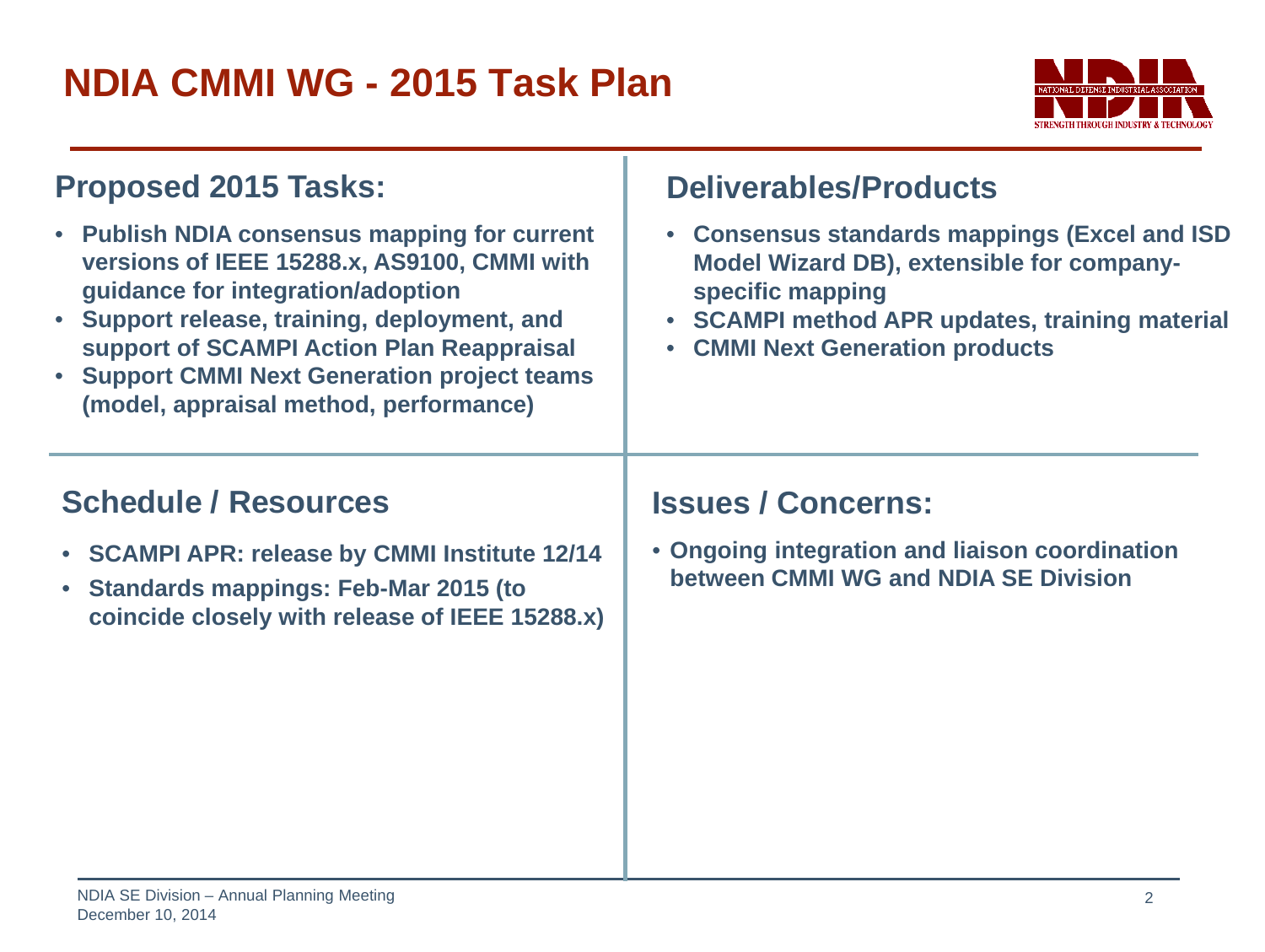## **NDIA CMMI WG - 2015 Task Plan**



| <b>Proposed 2015 Tasks:</b><br>• Publish NDIA consensus mapping for current<br>versions of IEEE 15288.x, AS9100, CMMI with<br>guidance for integration/adoption<br>• Support release, training, deployment, and<br>support of SCAMPI Action Plan Reappraisal<br>• Support CMMI Next Generation project teams<br>(model, appraisal method, performance) | <b>Deliverables/Products</b><br><b>Consensus standards mappings (Excel and ISD)</b><br>Model Wizard DB), extensible for company-<br>specific mapping<br>• SCAMPI method APR updates, training material<br><b>CMMI Next Generation products</b> |
|--------------------------------------------------------------------------------------------------------------------------------------------------------------------------------------------------------------------------------------------------------------------------------------------------------------------------------------------------------|------------------------------------------------------------------------------------------------------------------------------------------------------------------------------------------------------------------------------------------------|
| <b>Schedule / Resources</b><br>• SCAMPI APR: release by CMMI Institute 12/14<br>• Standards mappings: Feb-Mar 2015 (to<br>coincide closely with release of IEEE 15288.x)                                                                                                                                                                               | <b>Issues / Concerns:</b><br>• Ongoing integration and liaison coordination<br>between CMMI WG and NDIA SE Division                                                                                                                            |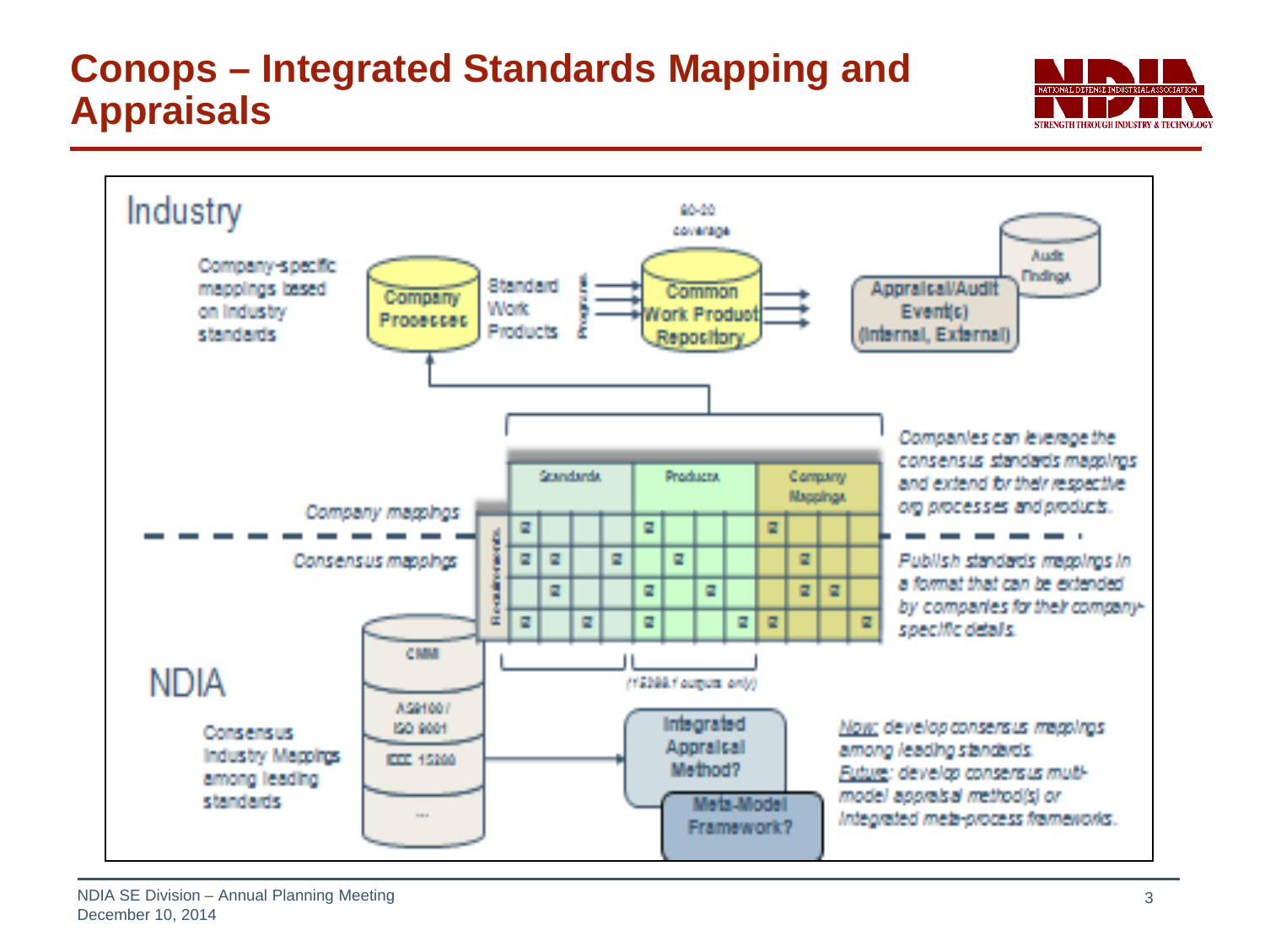## **Conops – Integrated Standards Mapping and Appraisals**